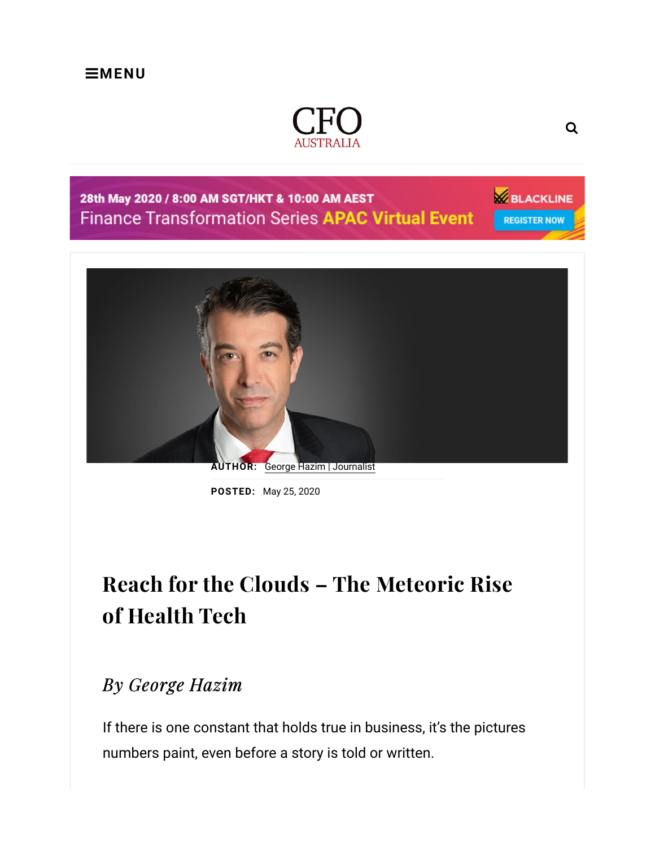

## 28th May 2020 / 8:00 AM SGT/HKT & 10:00 AM AEST **Finance Transformation Series APAC Virtual Event**

**ELACKLINE REGISTER NOW** 



AUTHOR: George Hazim | Journalist

POSTED: May 25, 2020

## Reach for the Clouds – The Meteoric Rise of Health Tech

## By George Hazim

If there is one constant that holds true in business, it's the pictures numbers paint, even before a story is told or written.

Q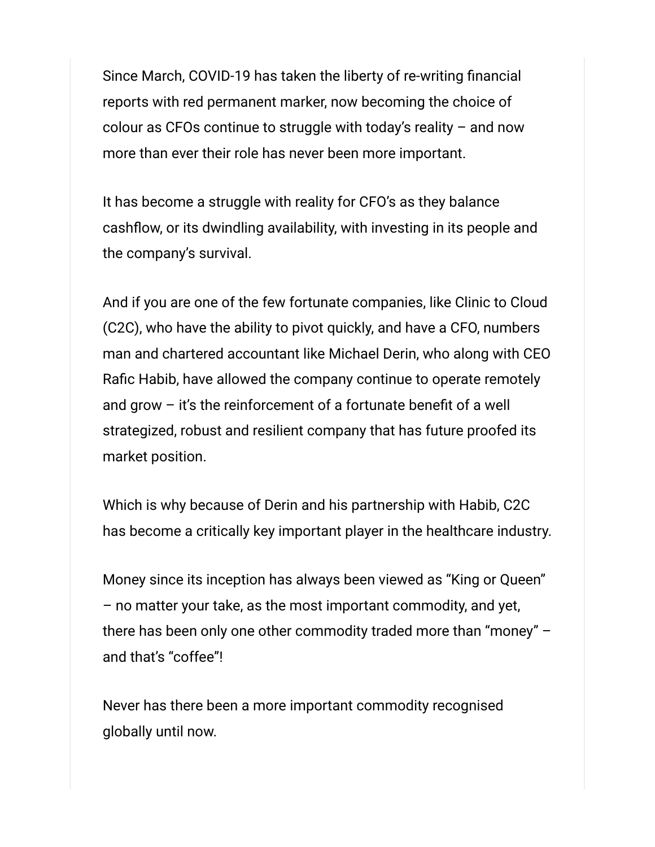Since March, COVID-19 has taken the liberty of re-writing financial reports with red permanent marker, now becoming the choice of colour as CFOs continue to struggle with today's reality  $-$  and now more than ever their role has never been more important.

It has become a struggle with reality for CFO's as they balance cashflow, or its dwindling availability, with investing in its people and the company's survival.

And if you are one of the few fortunate companies, like Clinic to Cloud (C2C), who have the ability to pivot quickly, and have a CFO, numbers man and chartered accountant like Michael Derin, who along with CEO Rafic Habib, have allowed the company continue to operate remotely and grow – it's the reinforcement of a fortunate benefit of a well strategized, robust and resilient company that has future proofed its market position.

Which is why because of Derin and his partnership with Habib, C2C has become a critically key important player in the healthcare industry.

Money since its inception has always been viewed as "King or Queen" – no matter your take, as the most important commodity, and yet, there has been only one other commodity traded more than "money" – and that's "coffee"!

Never has there been a more important commodity recognised globally until now.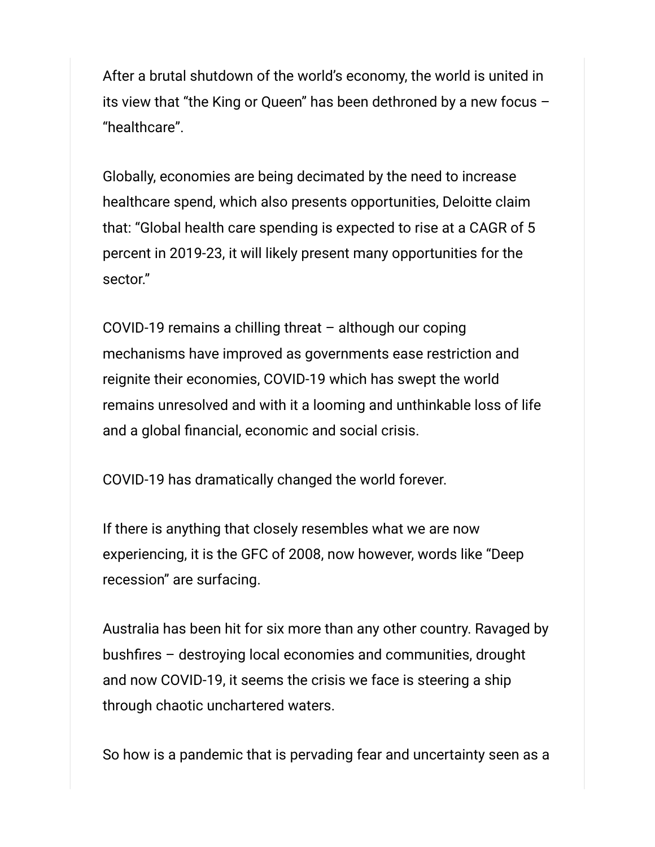After a brutal shutdown of the world's economy, the world is united in its view that "the King or Queen" has been dethroned by a new focus – "healthcare".

Globally, economies are being decimated by the need to increase healthcare spend, which also presents opportunities, Deloitte claim that: "Global health care spending is expected to rise at a CAGR of 5 percent in 2019-23, it will likely present many opportunities for the sector."

COVID-19 remains a chilling threat – although our coping mechanisms have improved as governments ease restriction and reignite their economies, COVID-19 which has swept the world remains unresolved and with it a looming and unthinkable loss of life and a global financial, economic and social crisis.

COVID-19 has dramatically changed the world forever.

If there is anything that closely resembles what we are now experiencing, it is the GFC of 2008, now however, words like "Deep recession" are surfacing.

Australia has been hit for six more than any other country. Ravaged by bushfires – destroying local economies and communities, drought and now COVID-19, it seems the crisis we face is steering a ship through chaotic unchartered waters.

So how is a pandemic that is pervading fear and uncertainty seen as a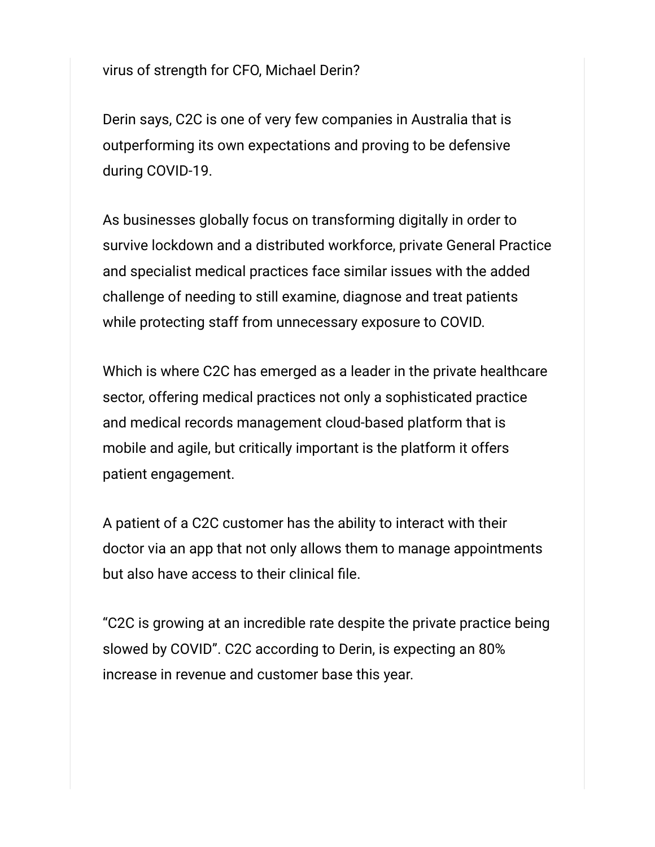virus of strength for CFO, Michael Derin?

Derin says, C2C is one of very few companies in Australia that is outperforming its own expectations and proving to be defensive during COVID-19.

As businesses globally focus on transforming digitally in order to survive lockdown and a distributed workforce, private General Practice and specialist medical practices face similar issues with the added challenge of needing to still examine, diagnose and treat patients while protecting staff from unnecessary exposure to COVID.

Which is where C2C has emerged as a leader in the private healthcare sector, offering medical practices not only a sophisticated practice and medical records management cloud-based platform that is mobile and agile, but critically important is the platform it offers patient engagement.

A patient of a C2C customer has the ability to interact with their doctor via an app that not only allows them to manage appointments but also have access to their clinical file.

"C2C is growing at an incredible rate despite the private practice being slowed by COVID". C2C according to Derin, is expecting an 80% increase in revenue and customer base this year.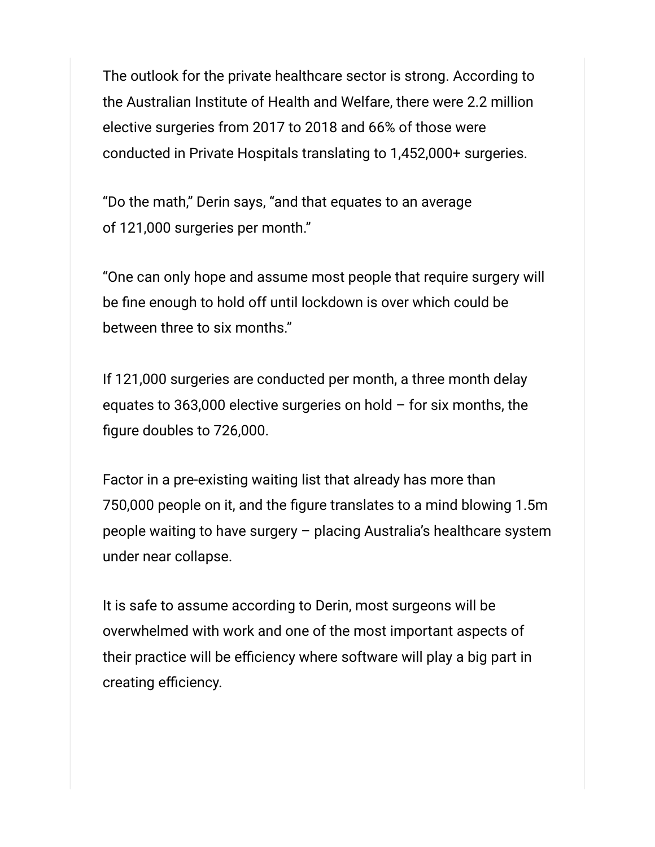The outlook for the private healthcare sector is strong. According to the Australian Institute of Health and Welfare, there were 2.2 million elective surgeries from 2017 to 2018 and 66% of those were conducted in Private Hospitals translating to 1,452,000+ surgeries.

"Do the math," Derin says, "and that equates to an average of 121,000 surgeries per month."

"One can only hope and assume most people that require surgery will be fine enough to hold off until lockdown is over which could be between three to six months."

If 121,000 surgeries are conducted per month, a three month delay equates to 363,000 elective surgeries on hold  $-$  for six months, the figure doubles to 726,000.

Factor in a pre-existing waiting list that already has more than 750,000 people on it, and the figure translates to a mind blowing 1.5m people waiting to have surgery – placing Australia's healthcare system under near collapse.

It is safe to assume according to Derin, most surgeons will be overwhelmed with work and one of the most important aspects of their practice will be efficiency where software will play a big part in creating efficiency.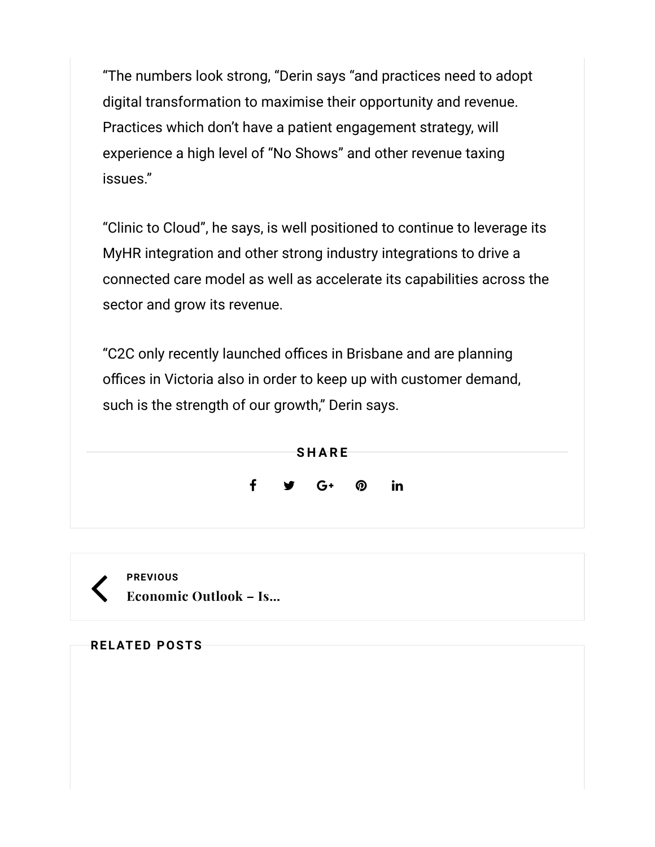"The numbers look strong, "Derin says "and practices need to adopt digital transformation to maximise their opportunity and revenue. Practices which don't have a patient engagement strategy, will experience a high level of "No Shows" and other revenue taxing issues."

"Clinic to Cloud", he says, is well positioned to continue to leverage its MyHR integration and other strong industry integrations to drive a connected care model as well as accelerate its capabilities across the sector and grow its revenue.

"C2C only recently launched offices in Brisbane and are planning offices in Victoria also in order to keep up with customer demand, such is the strength of our growth," Derin says.





| <b>RELATED POSTS</b> |  |
|----------------------|--|
|----------------------|--|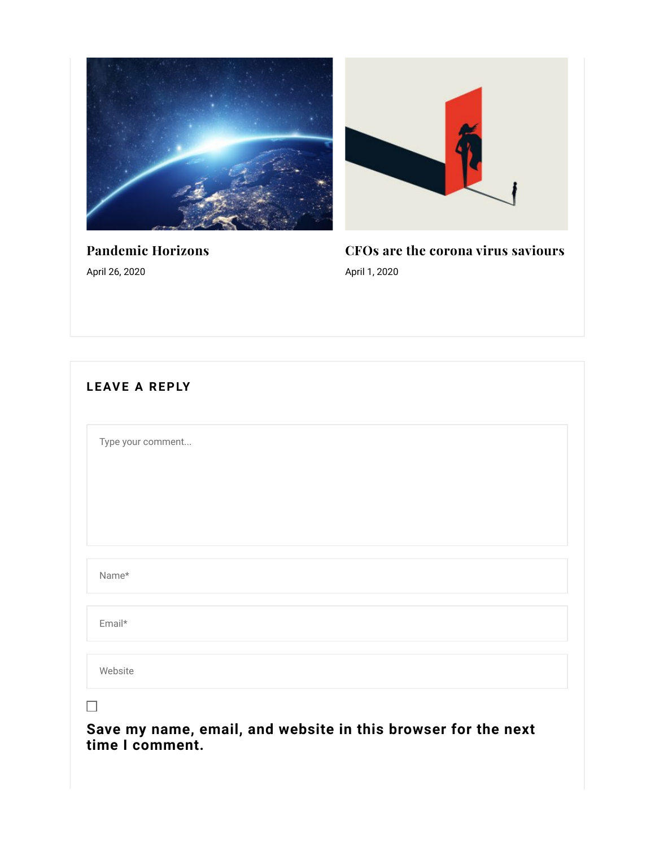



Pandemic Horizons April 26, 2020

CFOs are the corona virus saviours April 1, 2020

| Type your comment |  |  |  |
|-------------------|--|--|--|
|                   |  |  |  |
|                   |  |  |  |
|                   |  |  |  |
| Name*             |  |  |  |
| Email*            |  |  |  |
| Website           |  |  |  |